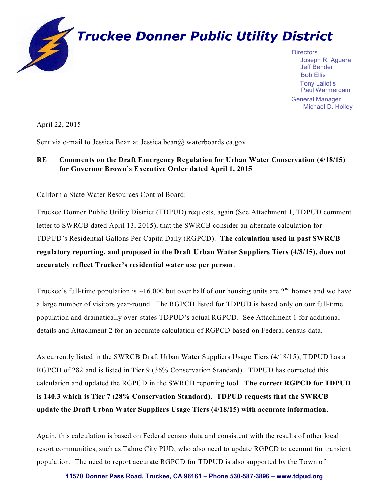

Joseph R. Aguera Bob Ellis Paul Warmerdam Tony Laliotis General Manager

Michael D. Holley

April 22, 2015

Sent via e-mail to Jessica Bean at Jessica.bean@ waterboards.ca.gov

# **RE Comments on the Draft Emergency Regulation for Urban Water Conservation (4/18/15) for Governor Brown's Executive Order dated April 1, 2015**

California State Water Resources Control Board:

Truckee Donner Public Utility District (TDPUD) requests, again (See Attachment 1, TDPUD comment letter to SWRCB dated April 13, 2015), that the SWRCB consider an alternate calculation for TDPUD's Residential Gallons Per Capita Daily (RGPCD). **The calculation used in past SWRCB regulatory reporting, and proposed in the Draft Urban Water Suppliers Tiers (4/8/15), does not accurately reflect Truckee's residential water use per person**.

Truckee's full-time population is  $\sim$ 16,000 but over half of our housing units are 2<sup>nd</sup> homes and we have a large number of visitors year-round. The RGPCD listed for TDPUD is based only on our full-time population and dramatically over-states TDPUD's actual RGPCD. See Attachment 1 for additional details and Attachment 2 for an accurate calculation of RGPCD based on Federal census data.

As currently listed in the SWRCB Draft Urban Water Suppliers Usage Tiers (4/18/15), TDPUD has a RGPCD of 282 and is listed in Tier 9 (36% Conservation Standard). TDPUD has corrected this calculation and updated the RGPCD in the SWRCB reporting tool. **The correct RGPCD for TDPUD is 140.3 which is Tier 7 (28% Conservation Standard)**. **TDPUD requests that the SWRCB update the Draft Urban Water Suppliers Usage Tiers (4/18/15) with accurate information**.

Again, this calculation is based on Federal census data and consistent with the results of other local resort communities, such as Tahoe City PUD, who also need to update RGPCD to account for transient population. The need to report accurate RGPCD for TDPUD is also supported by the Town of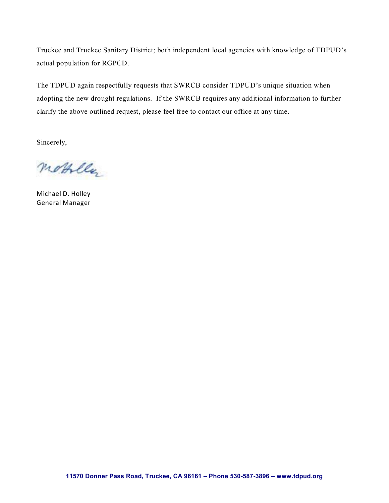Truckee and Truckee Sanitary District; both independent local agencies with knowledge of TDPUD's actual population for RGPCD.

The TDPUD again respectfully requests that SWRCB consider TDPUD's unique situation when adopting the new drought regulations. If the SWRCB requires any additional information to further clarify the above outlined request, please feel free to contact our office at any time.

Sincerely,

mobille.

Michael D. Holley General Manager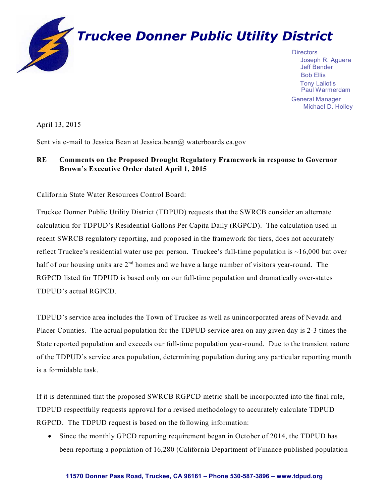

Joseph R. Aguera Bob Ellis Paul Warmerdam Tony Laliotis General Manager

Michael D. Holley

April 13, 2015

Sent via e-mail to Jessica Bean at Jessica.bean@ waterboards.ca.gov

# **RE Comments on the Proposed Drought Regulatory Framework in response to Governor Brown's Executive Order dated April 1, 2015**

California State Water Resources Control Board:

Truckee Donner Public Utility District (TDPUD) requests that the SWRCB consider an alternate calculation for TDPUD's Residential Gallons Per Capita Daily (RGPCD). The calculation used in recent SWRCB regulatory reporting, and proposed in the framework for tiers, does not accurately reflect Truckee's residential water use per person. Truckee's full-time population is  $\sim$ 16,000 but over half of our housing units are 2<sup>nd</sup> homes and we have a large number of visitors year-round. The RGPCD listed for TDPUD is based only on our full-time population and dramatically over-states TDPUD's actual RGPCD.

TDPUD's service area includes the Town of Truckee as well as unincorporated areas of Nevada and Placer Counties. The actual population for the TDPUD service area on any given day is 2-3 times the State reported population and exceeds our full-time population year-round. Due to the transient nature of the TDPUD's service area population, determining population during any particular reporting month is a formidable task.

If it is determined that the proposed SWRCB RGPCD metric shall be incorporated into the final rule, TDPUD respectfully requests approval for a revised methodology to accurately calculate TDPUD RGPCD. The TDPUD request is based on the following information:

• Since the monthly GPCD reporting requirement began in October of 2014, the TDPUD has been reporting a population of 16,280 (California Department of Finance published population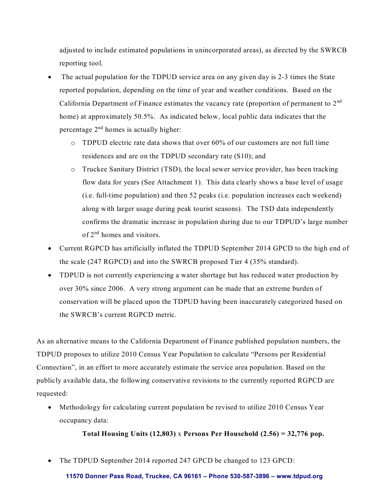adjusted to include estimated populations in unincorporated areas), as directed by the SWRCB reporting tool.

- The actual population for the TDPUD service area on any given day is 2-3 times the State reported population, depending on the time of year and weather conditions. Based on the California Department of Finance estimates the vacancy rate (proportion of permanent to  $2<sup>nd</sup>$ home) at approximately 50.5%. As indicated below, local public data indicates that the percentage  $2<sup>nd</sup>$  homes is actually higher:
	- o TDPUD electric rate data shows that over 60% of our customers are not full time residences and are on the TDPUD secondary rate (S10); and
	- o Truckee Sanitary District (TSD), the local sewer service provider, has been tracking flow data for years (See Attachment 1). This data clearly shows a base level of usage (i.e. full-time population) and then 52 peaks (i.e. population increases each weekend) along with larger usage during peak tourist seasons). The TSD data independently confirms the dramatic increase in population during due to our TDPUD's large number of 2<sup>nd</sup> homes and visitors.
- Current RGPCD has artificially inflated the TDPUD September 2014 GPCD to the high end of the scale (247 RGPCD) and into the SWRCB proposed Tier 4 (35% standard).
- TDPUD is not currently experiencing a water shortage but has reduced water production by over 30% since 2006. A very strong argument can be made that an extreme burden of conservation will be placed upon the TDPUD having been inaccurately categorized based on the SWRCB's current RGPCD metric.

As an alternative means to the California Department of Finance published population numbers, the TDPUD proposes to utilize 2010 Census Year Population to calculate "Persons per Residential Connection", in an effort to more accurately estimate the service area population. Based on the publicly available data, the following conservative revisions to the currently reported RGPCD are requested:

 Methodology for calculating current population be revised to utilize 2010 Census Year occupancy data:

**Total Housing Units (12,803)** x **Persons Per Household (2.56) = 32,776 pop.**

• The TDPUD September 2014 reported 247 GPCD be changed to 123 GPCD: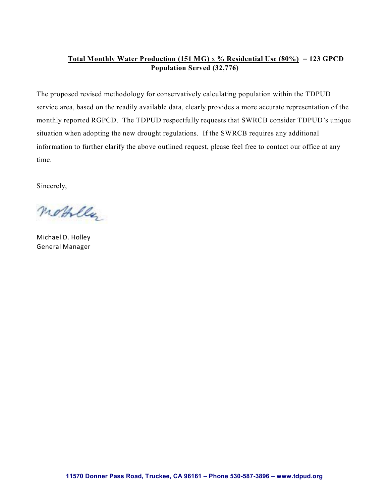### **Total Monthly Water Production (151 MG)** x **% Residential Use (80%) = 123 GPCD Population Served (32,776)**

The proposed revised methodology for conservatively calculating population within the TDPUD service area, based on the readily available data, clearly provides a more accurate representation of the monthly reported RGPCD. The TDPUD respectfully requests that SWRCB consider TDPUD's unique situation when adopting the new drought regulations. If the SWRCB requires any additional information to further clarify the above outlined request, please feel free to contact our office at any time.

Sincerely,

mobille

Michael D. Holley General Manager